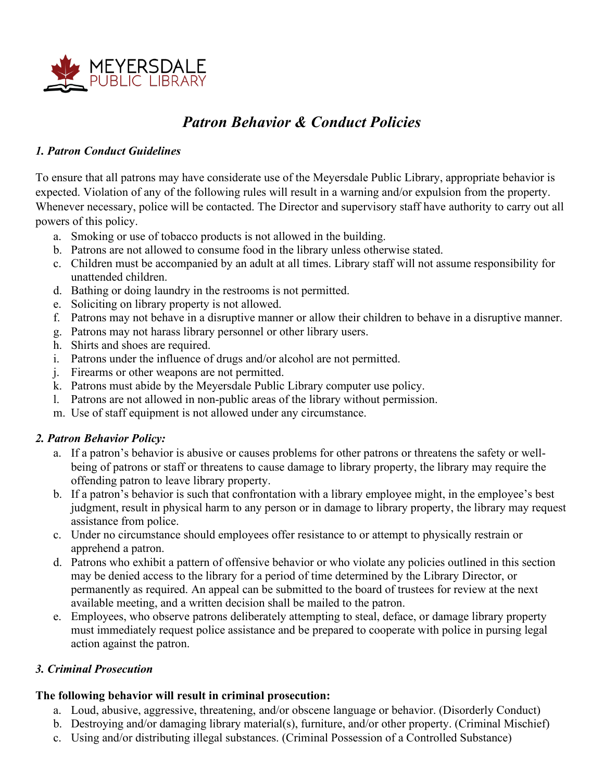

# *Patron Behavior & Conduct Policies*

#### *1. Patron Conduct Guidelines*

To ensure that all patrons may have considerate use of the Meyersdale Public Library, appropriate behavior is expected. Violation of any of the following rules will result in a warning and/or expulsion from the property. Whenever necessary, police will be contacted. The Director and supervisory staff have authority to carry out all powers of this policy.

- a. Smoking or use of tobacco products is not allowed in the building.
- b. Patrons are not allowed to consume food in the library unless otherwise stated.
- c. Children must be accompanied by an adult at all times. Library staff will not assume responsibility for unattended children.
- d. Bathing or doing laundry in the restrooms is not permitted.
- e. Soliciting on library property is not allowed.
- f. Patrons may not behave in a disruptive manner or allow their children to behave in a disruptive manner.
- g. Patrons may not harass library personnel or other library users.
- h. Shirts and shoes are required.
- i. Patrons under the influence of drugs and/or alcohol are not permitted.
- j. Firearms or other weapons are not permitted.
- k. Patrons must abide by the Meyersdale Public Library computer use policy.
- l. Patrons are not allowed in non-public areas of the library without permission.
- m. Use of staff equipment is not allowed under any circumstance.

### *2. Patron Behavior Policy:*

- a. If a patron's behavior is abusive or causes problems for other patrons or threatens the safety or wellbeing of patrons or staff or threatens to cause damage to library property, the library may require the offending patron to leave library property.
- b. If a patron's behavior is such that confrontation with a library employee might, in the employee's best judgment, result in physical harm to any person or in damage to library property, the library may request assistance from police.
- c. Under no circumstance should employees offer resistance to or attempt to physically restrain or apprehend a patron.
- d. Patrons who exhibit a pattern of offensive behavior or who violate any policies outlined in this section may be denied access to the library for a period of time determined by the Library Director, or permanently as required. An appeal can be submitted to the board of trustees for review at the next available meeting, and a written decision shall be mailed to the patron.
- e. Employees, who observe patrons deliberately attempting to steal, deface, or damage library property must immediately request police assistance and be prepared to cooperate with police in pursing legal action against the patron.

#### *3. Criminal Prosecution*

#### **The following behavior will result in criminal prosecution:**

- a. Loud, abusive, aggressive, threatening, and/or obscene language or behavior. (Disorderly Conduct)
- b. Destroying and/or damaging library material(s), furniture, and/or other property. (Criminal Mischief)
- c. Using and/or distributing illegal substances. (Criminal Possession of a Controlled Substance)